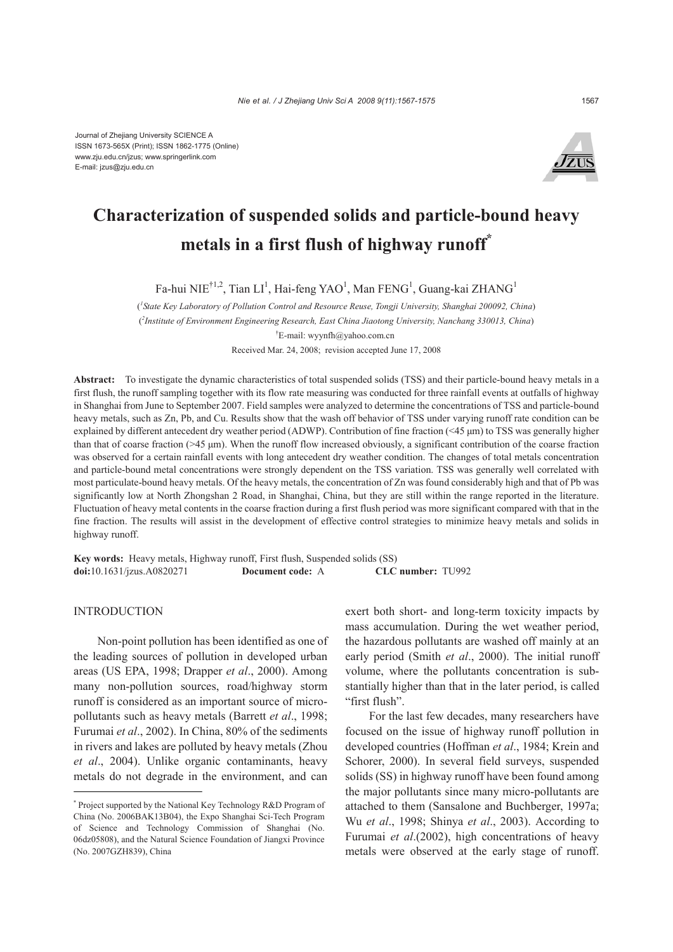

# **Characterization of suspended solids and particle-bound heavy metals in a first flush of highway runoff\***

Fa-hui NIE<sup>†1,2</sup>, Tian LI<sup>1</sup>, Hai-feng YAO<sup>1</sup>, Man FENG<sup>1</sup>, Guang-kai ZHANG<sup>1</sup>

( *1 State Key Laboratory of Pollution Control and Resource Reuse, Tongji University, Shanghai 200092, China*) ( *2 Institute of Environment Engineering Research, East China Jiaotong University, Nanchang 330013, China*) † E-mail: wyynfh@yahoo.com.cn Received Mar. 24, 2008; revision accepted June 17, 2008

**Abstract:** To investigate the dynamic characteristics of total suspended solids (TSS) and their particle-bound heavy metals in a first flush, the runoff sampling together with its flow rate measuring was conducted for three rainfall events at outfalls of highway in Shanghai from June to September 2007. Field samples were analyzed to determine the concentrations of TSS and particle-bound heavy metals, such as Zn, Pb, and Cu. Results show that the wash off behavior of TSS under varying runoff rate condition can be explained by different antecedent dry weather period (ADWP). Contribution of fine fraction (<45 μm) to TSS was generally higher than that of coarse fraction ( $>45 \text{ µm}$ ). When the runoff flow increased obviously, a significant contribution of the coarse fraction was observed for a certain rainfall events with long antecedent dry weather condition. The changes of total metals concentration and particle-bound metal concentrations were strongly dependent on the TSS variation. TSS was generally well correlated with most particulate-bound heavy metals. Of the heavy metals, the concentration of Zn was found considerably high and that of Pb was significantly low at North Zhongshan 2 Road, in Shanghai, China, but they are still within the range reported in the literature. Fluctuation of heavy metal contents in the coarse fraction during a first flush period was more significant compared with that in the fine fraction. The results will assist in the development of effective control strategies to minimize heavy metals and solids in highway runoff.

**Key words:** Heavy metals, Highway runoff, First flush, Suspended solids (SS) **doi:**10.1631/jzus.A0820271 **Document code:** A **CLC number:** TU992

# INTRODUCTION

Non-point pollution has been identified as one of the leading sources of pollution in developed urban areas (US EPA, 1998; Drapper *et al*., 2000). Among many non-pollution sources, road/highway storm runoff is considered as an important source of micropollutants such as heavy metals (Barrett *et al*., 1998; Furumai *et al*., 2002). In China, 80% of the sediments in rivers and lakes are polluted by heavy metals (Zhou *et al*., 2004). Unlike organic contaminants, heavy metals do not degrade in the environment, and can

exert both short- and long-term toxicity impacts by mass accumulation. During the wet weather period, the hazardous pollutants are washed off mainly at an early period (Smith *et al*., 2000). The initial runoff volume, where the pollutants concentration is substantially higher than that in the later period, is called "first flush".

For the last few decades, many researchers have focused on the issue of highway runoff pollution in developed countries (Hoffman *et al*., 1984; Krein and Schorer, 2000). In several field surveys, suspended solids (SS) in highway runoff have been found among the major pollutants since many micro-pollutants are attached to them (Sansalone and Buchberger, 1997a; Wu *et al*., 1998; Shinya *et al*., 2003). According to Furumai *et al*.(2002), high concentrations of heavy metals were observed at the early stage of runoff.

<sup>\*</sup> Project supported by the National Key Technology R&D Program of China (No. 2006BAK13B04), the Expo Shanghai Sci-Tech Program of Science and Technology Commission of Shanghai (No. 06dz05808), and the Natural Science Foundation of Jiangxi Province (No. 2007GZH839), China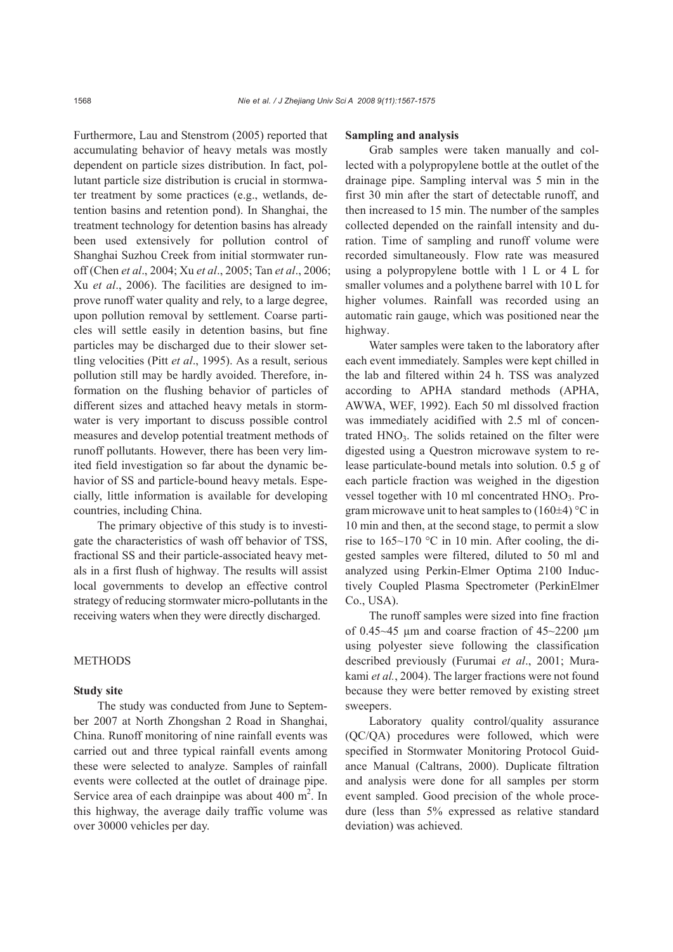Furthermore, Lau and Stenstrom (2005) reported that accumulating behavior of heavy metals was mostly dependent on particle sizes distribution. In fact, pollutant particle size distribution is crucial in stormwater treatment by some practices (e.g., wetlands, detention basins and retention pond). In Shanghai, the treatment technology for detention basins has already been used extensively for pollution control of Shanghai Suzhou Creek from initial stormwater runoff (Chen *et al*., 2004; Xu *et al*., 2005; Tan *et al*., 2006; Xu *et al*., 2006). The facilities are designed to improve runoff water quality and rely, to a large degree, upon pollution removal by settlement. Coarse particles will settle easily in detention basins, but fine particles may be discharged due to their slower settling velocities (Pitt *et al*., 1995). As a result, serious pollution still may be hardly avoided. Therefore, information on the flushing behavior of particles of different sizes and attached heavy metals in stormwater is very important to discuss possible control measures and develop potential treatment methods of runoff pollutants. However, there has been very limited field investigation so far about the dynamic behavior of SS and particle-bound heavy metals. Especially, little information is available for developing countries, including China.

The primary objective of this study is to investigate the characteristics of wash off behavior of TSS, fractional SS and their particle-associated heavy metals in a first flush of highway. The results will assist local governments to develop an effective control strategy of reducing stormwater micro-pollutants in the receiving waters when they were directly discharged.

# **METHODS**

### **Study site**

The study was conducted from June to September 2007 at North Zhongshan 2 Road in Shanghai, China. Runoff monitoring of nine rainfall events was carried out and three typical rainfall events among these were selected to analyze. Samples of rainfall events were collected at the outlet of drainage pipe. Service area of each drainpipe was about  $400 \text{ m}^2$ . In this highway, the average daily traffic volume was over 30000 vehicles per day.

## **Sampling and analysis**

Grab samples were taken manually and collected with a polypropylene bottle at the outlet of the drainage pipe. Sampling interval was 5 min in the first 30 min after the start of detectable runoff, and then increased to 15 min. The number of the samples collected depended on the rainfall intensity and duration. Time of sampling and runoff volume were recorded simultaneously. Flow rate was measured using a polypropylene bottle with 1 L or 4 L for smaller volumes and a polythene barrel with 10 L for higher volumes. Rainfall was recorded using an automatic rain gauge, which was positioned near the highway.

Water samples were taken to the laboratory after each event immediately. Samples were kept chilled in the lab and filtered within 24 h. TSS was analyzed according to APHA standard methods (APHA, AWWA, WEF, 1992). Each 50 ml dissolved fraction was immediately acidified with 2.5 ml of concentrated HNO<sub>3</sub>. The solids retained on the filter were digested using a Questron microwave system to release particulate-bound metals into solution. 0.5 g of each particle fraction was weighed in the digestion vessel together with  $10$  ml concentrated  $HNO<sub>3</sub>$ . Program microwave unit to heat samples to  $(160\pm4)$  °C in 10 min and then, at the second stage, to permit a slow rise to  $165{\sim}170$  °C in 10 min. After cooling, the digested samples were filtered, diluted to 50 ml and analyzed using Perkin-Elmer Optima 2100 Inductively Coupled Plasma Spectrometer (PerkinElmer Co., USA).

The runoff samples were sized into fine fraction of 0.45 $\sim$ 45 µm and coarse fraction of 45 $\sim$ 2200 µm using polyester sieve following the classification described previously (Furumai *et al*., 2001; Murakami *et al.*, 2004). The larger fractions were not found because they were better removed by existing street sweepers.

Laboratory quality control/quality assurance (QC/QA) procedures were followed, which were specified in Stormwater Monitoring Protocol Guidance Manual (Caltrans, 2000). Duplicate filtration and analysis were done for all samples per storm event sampled. Good precision of the whole procedure (less than 5% expressed as relative standard deviation) was achieved.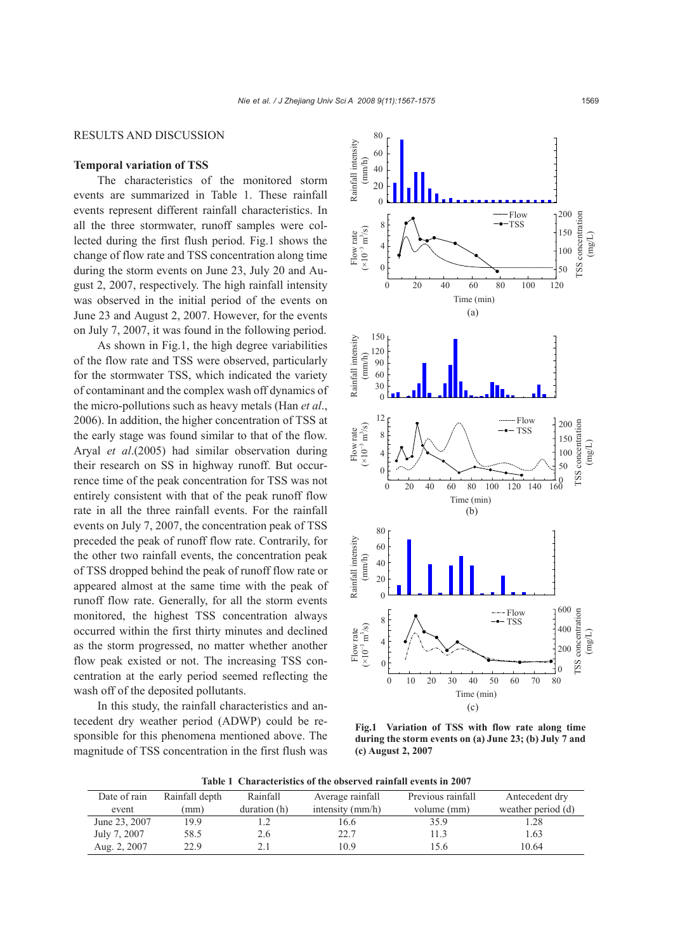## RESULTS AND DISCUSSION

## **Temporal variation of TSS**

The characteristics of the monitored storm events are summarized in Table 1. These rainfall events represent different rainfall characteristics. In all the three stormwater, runoff samples were collected during the first flush period. Fig.1 shows the change of flow rate and TSS concentration along time during the storm events on June 23, July 20 and August 2, 2007, respectively. The high rainfall intensity was observed in the initial period of the events on June 23 and August 2, 2007. However, for the events on July 7, 2007, it was found in the following period.

As shown in Fig.1, the high degree variabilities of the flow rate and TSS were observed, particularly for the stormwater TSS, which indicated the variety of contaminant and the complex wash off dynamics of the micro-pollutions such as heavy metals (Han *et al*., 2006). In addition, the higher concentration of TSS at the early stage was found similar to that of the flow. Aryal *et al*.(2005) had similar observation during their research on SS in highway runoff. But occurrence time of the peak concentration for TSS was not entirely consistent with that of the peak runoff flow rate in all the three rainfall events. For the rainfall events on July 7, 2007, the concentration peak of TSS preceded the peak of runoff flow rate. Contrarily, for the other two rainfall events, the concentration peak of TSS dropped behind the peak of runoff flow rate or appeared almost at the same time with the peak of runoff flow rate. Generally, for all the storm events monitored, the highest TSS concentration always occurred within the first thirty minutes and declined as the storm progressed, no matter whether another flow peak existed or not. The increasing TSS concentration at the early period seemed reflecting the wash off of the deposited pollutants.

In this study, the rainfall characteristics and antecedent dry weather period (ADWP) could be responsible for this phenomena mentioned above. The magnitude of TSS concentration in the first flush was



**Fig.1 Variation of TSS with flow rate along time during the storm events on (a) June 23; (b) July 7 and (c) August 2, 2007** 

**Table 1 Characteristics of the observed rainfall events in 2007** 

| Date of rain  | Rainfall depth | Rainfall     | Average rainfall   | Previous rainfall | Antecedent dry     |
|---------------|----------------|--------------|--------------------|-------------------|--------------------|
| event         | (mm)           | duration (h) | intensity $(mm/h)$ | volume (mm)       | weather period (d) |
| June 23, 2007 | 19.9           |              | 16.6               | 35.9              | .28                |
| July 7, 2007  | 58.5           | 2.6          | 22.7               | 11.3              | 1.63               |
| Aug. 2, 2007  | 22.9           | 2.1          | 10.9               | 15.6              | 10.64              |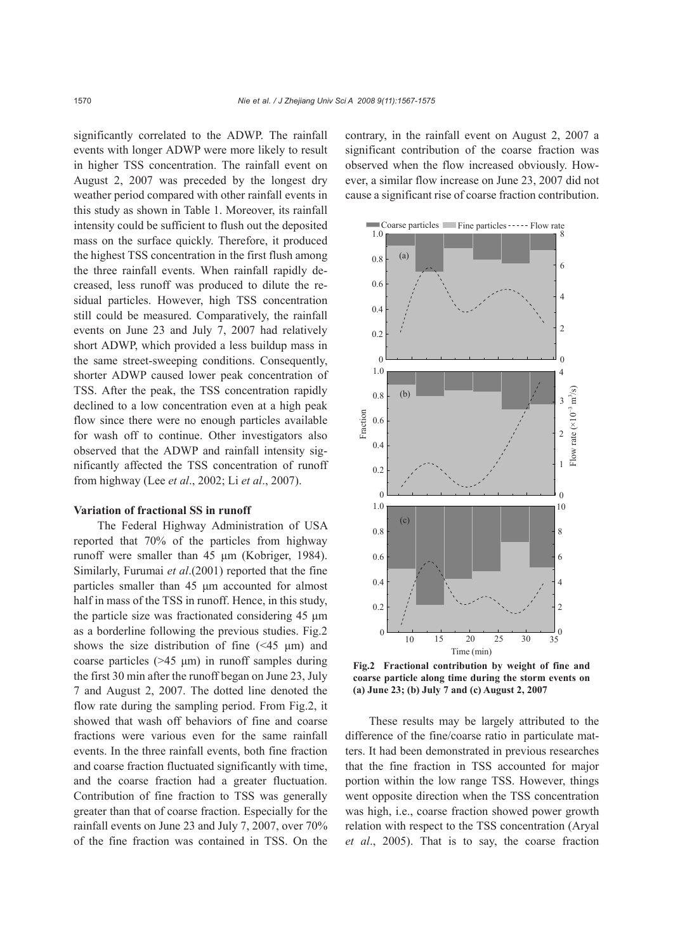significantly correlated to the ADWP. The rainfall events with longer ADWP were more likely to result in higher TSS concentration. The rainfall event on August 2, 2007 was preceded by the longest dry weather period compared with other rainfall events in this study as shown in Table 1. Moreover, its rainfall intensity could be sufficient to flush out the deposited mass on the surface quickly. Therefore, it produced the highest TSS concentration in the first flush among the three rainfall events. When rainfall rapidly decreased, less runoff was produced to dilute the residual particles. However, high TSS concentration still could be measured. Comparatively, the rainfall events on June 23 and July 7, 2007 had relatively short ADWP, which provided a less buildup mass in the same street-sweeping conditions. Consequently, shorter ADWP caused lower peak concentration of TSS. After the peak, the TSS concentration rapidly declined to a low concentration even at a high peak flow since there were no enough particles available for wash off to continue. Other investigators also observed that the ADWP and rainfall intensity significantly affected the TSS concentration of runoff from highway (Lee *et al*., 2002; Li *et al*., 2007).

#### **Variation of fractional SS in runoff**

The Federal Highway Administration of USA reported that 70% of the particles from highway runoff were smaller than 45 μm (Kobriger, 1984). Similarly, Furumai *et al*.(2001) reported that the fine particles smaller than 45 μm accounted for almost half in mass of the TSS in runoff. Hence, in this study, the particle size was fractionated considering 45 μm as a borderline following the previous studies. Fig.2 shows the size distribution of fine  $(\leq 45 \mu m)$  and coarse particles (>45 μm) in runoff samples during the first 30 min after the runoff began on June 23, July 7 and August 2, 2007. The dotted line denoted the flow rate during the sampling period. From Fig.2, it showed that wash off behaviors of fine and coarse fractions were various even for the same rainfall events. In the three rainfall events, both fine fraction and coarse fraction fluctuated significantly with time, and the coarse fraction had a greater fluctuation. Contribution of fine fraction to TSS was generally greater than that of coarse fraction. Especially for the rainfall events on June 23 and July 7, 2007, over 70% of the fine fraction was contained in TSS. On the

contrary, in the rainfall event on August 2, 2007 a significant contribution of the coarse fraction was observed when the flow increased obviously. However, a similar flow increase on June 23, 2007 did not cause a significant rise of coarse fraction contribution.



**Fig.2 Fractional contribution by weight of fine and coarse particle along time during the storm events on (a) June 23; (b) July 7 and (c) August 2, 2007** 

These results may be largely attributed to the difference of the fine/coarse ratio in particulate matters. It had been demonstrated in previous researches that the fine fraction in TSS accounted for major portion within the low range TSS. However, things went opposite direction when the TSS concentration was high, i.e., coarse fraction showed power growth relation with respect to the TSS concentration (Aryal *et al*., 2005). That is to say, the coarse fraction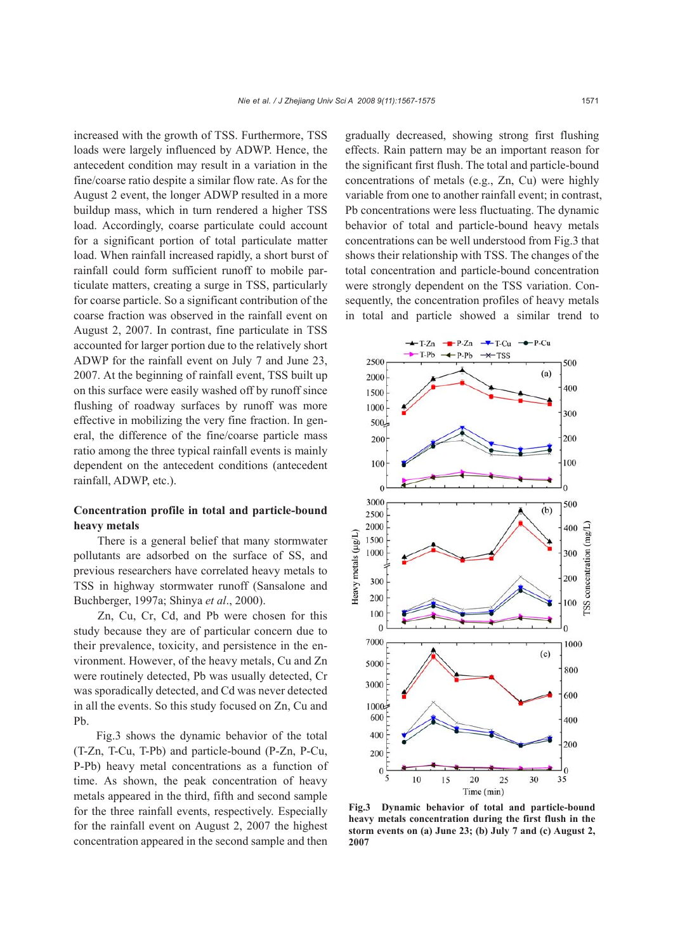increased with the growth of TSS. Furthermore, TSS loads were largely influenced by ADWP. Hence, the antecedent condition may result in a variation in the fine/coarse ratio despite a similar flow rate. As for the August 2 event, the longer ADWP resulted in a more buildup mass, which in turn rendered a higher TSS load. Accordingly, coarse particulate could account for a significant portion of total particulate matter load. When rainfall increased rapidly, a short burst of rainfall could form sufficient runoff to mobile particulate matters, creating a surge in TSS, particularly for coarse particle. So a significant contribution of the coarse fraction was observed in the rainfall event on August 2, 2007. In contrast, fine particulate in TSS accounted for larger portion due to the relatively short ADWP for the rainfall event on July 7 and June 23, 2007. At the beginning of rainfall event, TSS built up on this surface were easily washed off by runoff since flushing of roadway surfaces by runoff was more effective in mobilizing the very fine fraction. In general, the difference of the fine/coarse particle mass ratio among the three typical rainfall events is mainly dependent on the antecedent conditions (antecedent rainfall, ADWP, etc.).

# **Concentration profile in total and particle-bound heavy metals**

There is a general belief that many stormwater pollutants are adsorbed on the surface of SS, and previous researchers have correlated heavy metals to TSS in highway stormwater runoff (Sansalone and Buchberger, 1997a; Shinya *et al*., 2000).

Zn, Cu, Cr, Cd, and Pb were chosen for this study because they are of particular concern due to their prevalence, toxicity, and persistence in the environment. However, of the heavy metals, Cu and Zn were routinely detected, Pb was usually detected, Cr was sporadically detected, and Cd was never detected in all the events. So this study focused on Zn, Cu and Pb.

Fig.3 shows the dynamic behavior of the total (T-Zn, T-Cu, T-Pb) and particle-bound (P-Zn, P-Cu, P-Pb) heavy metal concentrations as a function of time. As shown, the peak concentration of heavy metals appeared in the third, fifth and second sample for the three rainfall events, respectively. Especially for the rainfall event on August 2, 2007 the highest concentration appeared in the second sample and then gradually decreased, showing strong first flushing effects. Rain pattern may be an important reason for the significant first flush. The total and particle-bound concentrations of metals (e.g., Zn, Cu) were highly variable from one to another rainfall event; in contrast, Pb concentrations were less fluctuating. The dynamic behavior of total and particle-bound heavy metals concentrations can be well understood from Fig.3 that shows their relationship with TSS. The changes of the total concentration and particle-bound concentration were strongly dependent on the TSS variation. Consequently, the concentration profiles of heavy metals in total and particle showed a similar trend to



**Fig.3 Dynamic behavior of total and particle-bound heavy metals concentration during the first flush in the storm events on (a) June 23; (b) July 7 and (c) August 2, 2007**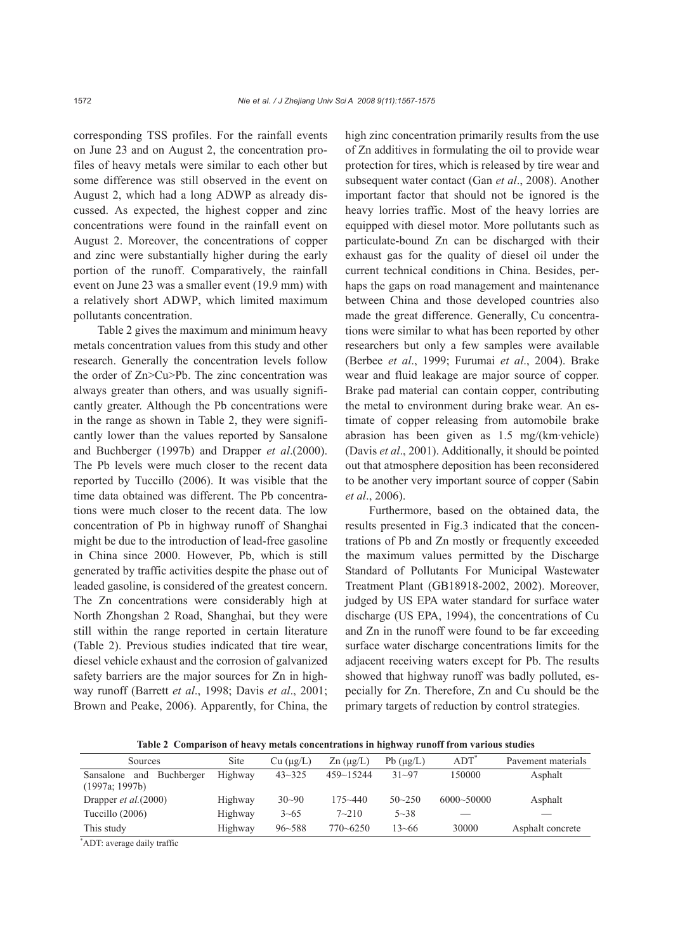corresponding TSS profiles. For the rainfall events on June 23 and on August 2, the concentration profiles of heavy metals were similar to each other but some difference was still observed in the event on August 2, which had a long ADWP as already discussed. As expected, the highest copper and zinc concentrations were found in the rainfall event on August 2. Moreover, the concentrations of copper and zinc were substantially higher during the early portion of the runoff. Comparatively, the rainfall event on June 23 was a smaller event (19.9 mm) with a relatively short ADWP, which limited maximum pollutants concentration.

Table 2 gives the maximum and minimum heavy metals concentration values from this study and other research. Generally the concentration levels follow the order of Zn>Cu>Pb. The zinc concentration was always greater than others, and was usually significantly greater. Although the Pb concentrations were in the range as shown in Table 2, they were significantly lower than the values reported by Sansalone and Buchberger (1997b) and Drapper *et al*.(2000). The Pb levels were much closer to the recent data reported by Tuccillo (2006). It was visible that the time data obtained was different. The Pb concentrations were much closer to the recent data. The low concentration of Pb in highway runoff of Shanghai might be due to the introduction of lead-free gasoline in China since 2000. However, Pb, which is still generated by traffic activities despite the phase out of leaded gasoline, is considered of the greatest concern. The Zn concentrations were considerably high at North Zhongshan 2 Road, Shanghai, but they were still within the range reported in certain literature (Table 2). Previous studies indicated that tire wear, diesel vehicle exhaust and the corrosion of galvanized safety barriers are the major sources for Zn in highway runoff (Barrett *et al*., 1998; Davis *et al*., 2001; Brown and Peake, 2006). Apparently, for China, the

high zinc concentration primarily results from the use of Zn additives in formulating the oil to provide wear protection for tires, which is released by tire wear and subsequent water contact (Gan *et al*., 2008). Another important factor that should not be ignored is the heavy lorries traffic. Most of the heavy lorries are equipped with diesel motor. More pollutants such as particulate-bound Zn can be discharged with their exhaust gas for the quality of diesel oil under the current technical conditions in China. Besides, perhaps the gaps on road management and maintenance between China and those developed countries also made the great difference. Generally, Cu concentrations were similar to what has been reported by other researchers but only a few samples were available (Berbee *et al*., 1999; Furumai *et al*., 2004). Brake wear and fluid leakage are major source of copper. Brake pad material can contain copper, contributing the metal to environment during brake wear. An estimate of copper releasing from automobile brake abrasion has been given as 1.5 mg/(km·vehicle) (Davis *et al*., 2001). Additionally, it should be pointed out that atmosphere deposition has been reconsidered to be another very important source of copper (Sabin *et al*., 2006).

Furthermore, based on the obtained data, the results presented in Fig.3 indicated that the concentrations of Pb and Zn mostly or frequently exceeded the maximum values permitted by the Discharge Standard of Pollutants For Municipal Wastewater Treatment Plant (GB18918-2002, 2002). Moreover, judged by US EPA water standard for surface water discharge (US EPA, 1994), the concentrations of Cu and Zn in the runoff were found to be far exceeding surface water discharge concentrations limits for the adjacent receiving waters except for Pb. The results showed that highway runoff was badly polluted, especially for Zn. Therefore, Zn and Cu should be the primary targets of reduction by control strategies.

**Table 2 Comparison of heavy metals concentrations in highway runoff from various studies** 

| <b>Sources</b>                                   | Site    | $Cu$ ( $\mu$ g/L) | $\text{Zn}$ ( $\mu$ g/L) | Pb $(\mu g/L)$ | <b>ADT</b>     | Pavement materials |
|--------------------------------------------------|---------|-------------------|--------------------------|----------------|----------------|--------------------|
| Buchberger<br>Sansalone<br>and<br>(1997a; 1997b) | Highway | $43 - 325$        | $459 - 15244$            | $31 - 97$      | 150000         | Asphalt            |
| Drapper <i>et al.</i> (2000)                     | Highway | $30 - 90$         | $175 - 440$              | $50 - 250$     | $6000 - 50000$ | Asphalt            |
| Tuccillo $(2006)$                                | Highway | $3 - 65$          | $7 - 210$                | $5 - 38$       |                |                    |
| This study                                       | Highway | $96 - 588$        | $770 - 6250$             | 13~66          | 30000          | Asphalt concrete   |

\* ADT: average daily traffic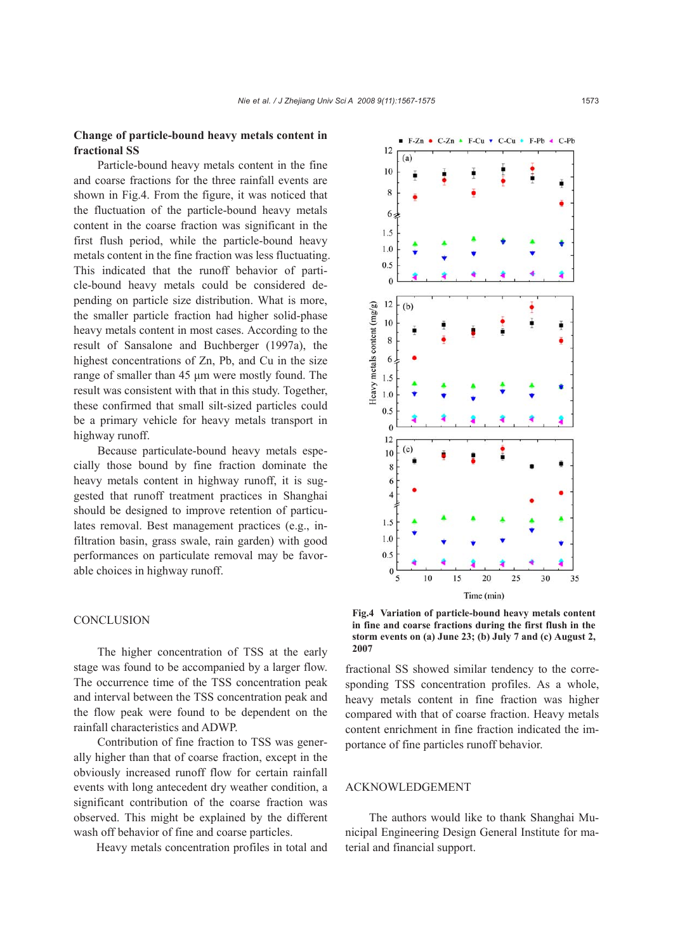# **Change of particle-bound heavy metals content in fractional SS**

Particle-bound heavy metals content in the fine and coarse fractions for the three rainfall events are shown in Fig.4. From the figure, it was noticed that the fluctuation of the particle-bound heavy metals content in the coarse fraction was significant in the first flush period, while the particle-bound heavy metals content in the fine fraction was less fluctuating. This indicated that the runoff behavior of particle-bound heavy metals could be considered depending on particle size distribution. What is more, the smaller particle fraction had higher solid-phase heavy metals content in most cases. According to the result of Sansalone and Buchberger (1997a), the highest concentrations of Zn, Pb, and Cu in the size range of smaller than 45 μm were mostly found. The result was consistent with that in this study. Together, these confirmed that small silt-sized particles could be a primary vehicle for heavy metals transport in highway runoff.

Because particulate-bound heavy metals especially those bound by fine fraction dominate the heavy metals content in highway runoff, it is suggested that runoff treatment practices in Shanghai should be designed to improve retention of particulates removal. Best management practices (e.g., infiltration basin, grass swale, rain garden) with good performances on particulate removal may be favorable choices in highway runoff.

## **CONCLUSION**

The higher concentration of TSS at the early stage was found to be accompanied by a larger flow. The occurrence time of the TSS concentration peak and interval between the TSS concentration peak and the flow peak were found to be dependent on the rainfall characteristics and ADWP.

Contribution of fine fraction to TSS was generally higher than that of coarse fraction, except in the obviously increased runoff flow for certain rainfall events with long antecedent dry weather condition, a significant contribution of the coarse fraction was observed. This might be explained by the different wash off behavior of fine and coarse particles.

Heavy metals concentration profiles in total and



**Fig.4 Variation of particle-bound heavy metals content in fine and coarse fractions during the first flush in the storm events on (a) June 23; (b) July 7 and (c) August 2, 2007**

fractional SS showed similar tendency to the corresponding TSS concentration profiles. As a whole, heavy metals content in fine fraction was higher compared with that of coarse fraction. Heavy metals content enrichment in fine fraction indicated the importance of fine particles runoff behavior.

## ACKNOWLEDGEMENT

The authors would like to thank Shanghai Municipal Engineering Design General Institute for material and financial support.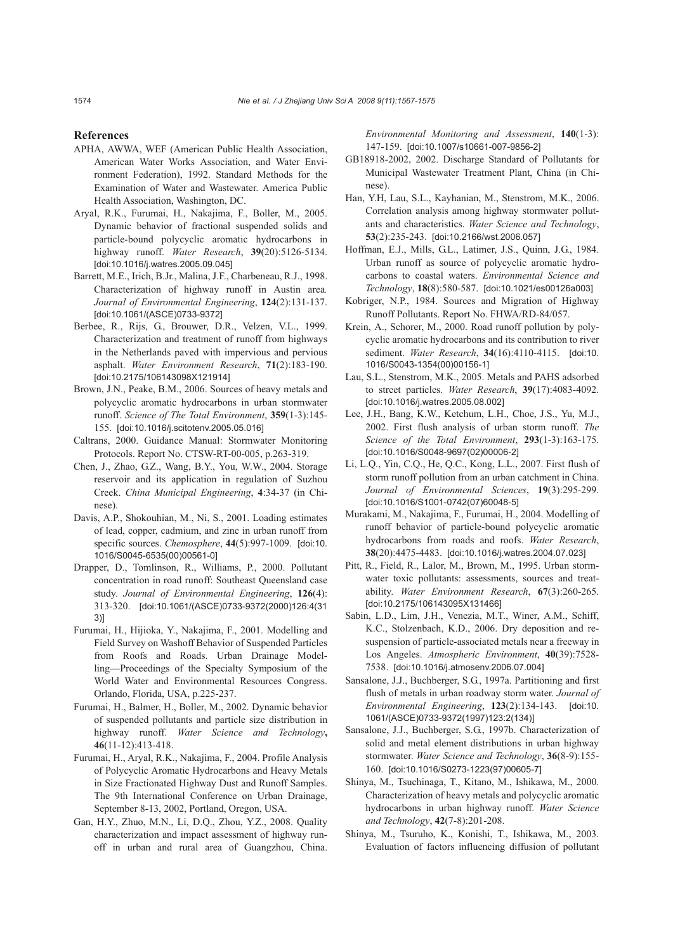#### **References**

- APHA, AWWA, WEF (American Public Health Association, American Water Works Association, and Water Environment Federation), 1992. Standard Methods for the Examination of Water and Wastewater. America Public Health Association, Washington, DC.
- Aryal, R.K., Furumai, H., Nakajima, F., Boller, M., 2005. Dynamic behavior of fractional suspended solids and particle-bound polycyclic aromatic hydrocarbons in highway runoff. *Water Research*, **39**(20):5126-5134. [doi:10.1016/j.watres.2005.09.045]
- Barrett, M.E., Irich, B.Jr., Malina, J.F., Charbeneau, R.J., 1998. Characterization of highway runoff in Austin area*. Journal of Environmental Engineering*, **124**(2):131-137. [doi:10.1061/(ASCE)0733-9372]
- Berbee, R., Rijs, G., Brouwer, D.R., Velzen, V.L., 1999. Characterization and treatment of runoff from highways in the Netherlands paved with impervious and pervious asphalt. *Water Environment Research*, **71**(2):183-190. [doi:10.2175/106143098X121914]
- Brown, J.N., Peake, B.M., 2006. Sources of heavy metals and polycyclic aromatic hydrocarbons in urban stormwater runoff. *Science of The Total Environment*, **359**(1-3):145- 155. [doi:10.1016/j.scitotenv.2005.05.016]
- Caltrans, 2000. Guidance Manual: Stormwater Monitoring Protocols. Report No. CTSW-RT-00-005, p.263-319.
- Chen, J., Zhao, G.Z., Wang, B.Y., You, W.W., 2004. Storage reservoir and its application in regulation of Suzhou Creek. *China Municipal Engineering*, **4**:34-37 (in Chinese).
- Davis, A.P., Shokouhian, M., Ni, S., 2001. Loading estimates of lead, copper, cadmium, and zinc in urban runoff from specific sources. *Chemosphere*, **44**(5):997-1009. [doi:10. 1016/S0045-6535(00)00561-0]
- Drapper, D., Tomlinson, R., Williams, P., 2000. Pollutant concentration in road runoff: Southeast Queensland case study. *Journal of Environmental Engineering*, **126**(4): 313-320. [doi:10.1061/(ASCE)0733-9372(2000)126:4(31 3)]
- Furumai, H., Hijioka, Y., Nakajima, F., 2001. Modelling and Field Survey on Washoff Behavior of Suspended Particles from Roofs and Roads. Urban Drainage Modelling—Proceedings of the Specialty Symposium of the World Water and Environmental Resources Congress. Orlando, Florida, USA, p.225-237.
- Furumai, H., Balmer, H., Boller, M., 2002. Dynamic behavior of suspended pollutants and particle size distribution in highway runoff. *Water Science and Technology***, 46**(11-12):413-418.
- Furumai, H., Aryal, R.K., Nakajima, F., 2004. Profile Analysis of Polycyclic Aromatic Hydrocarbons and Heavy Metals in Size Fractionated Highway Dust and Runoff Samples. The 9th International Conference on Urban Drainage, September 8-13, 2002, Portland, Oregon, USA.
- Gan, H.Y., Zhuo, M.N., Li, D.Q., Zhou, Y.Z., 2008. Quality characterization and impact assessment of highway runoff in urban and rural area of Guangzhou, China.

*Environmental Monitoring and Assessment*, **140**(1-3): 147-159. [doi:10.1007/s10661-007-9856-2]

- GB18918-2002, 2002. Discharge Standard of Pollutants for Municipal Wastewater Treatment Plant, China (in Chinese).
- Han, Y.H, Lau, S.L., Kayhanian, M., Stenstrom, M.K., 2006. Correlation analysis among highway stormwater pollutants and characteristics. *Water Science and Technology*, **53**(2):235-243. [doi:10.2166/wst.2006.057]
- Hoffman, E.J., Mills, G.L., Latimer, J.S., Quinn, J.G., 1984. Urban runoff as source of polycyclic aromatic hydrocarbons to coastal waters. *Environmental Science and Technology*, **18**(8):580-587. [doi:10.1021/es00126a003]
- Kobriger, N.P., 1984. Sources and Migration of Highway Runoff Pollutants. Report No. FHWA/RD-84/057.
- Krein, A., Schorer, M., 2000. Road runoff pollution by polycyclic aromatic hydrocarbons and its contribution to river sediment. *Water Research*, **34**(16):4110-4115. [doi:10. 1016/S0043-1354(00)00156-1]
- Lau, S.L., Stenstrom, M.K., 2005. Metals and PAHS adsorbed to street particles. *Water Research*, **39**(17):4083-4092. [doi:10.1016/j.watres.2005.08.002]
- Lee, J.H., Bang, K.W., Ketchum, L.H., Choe, J.S., Yu, M.J., 2002. First flush analysis of urban storm runoff. *The Science of the Total Environment*, **293**(1-3):163-175. [doi:10.1016/S0048-9697(02)00006-2]
- Li, L.Q., Yin, C.Q., He, Q.C., Kong, L.L., 2007. First flush of storm runoff pollution from an urban catchment in China. *Journal of Environmental Sciences*, **19**(3):295-299. [doi:10.1016/S1001-0742(07)60048-5]
- Murakami, M., Nakajima, F., Furumai, H., 2004. Modelling of runoff behavior of particle-bound polycyclic aromatic hydrocarbons from roads and roofs. *Water Research*, **38**(20):4475-4483. [doi:10.1016/j.watres.2004.07.023]
- Pitt, R., Field, R., Lalor, M., Brown, M., 1995. Urban stormwater toxic pollutants: assessments, sources and treatability. *Water Environment Research*, **67**(3):260-265. [doi:10.2175/106143095X131466]
- Sabin, L.D., Lim, J.H., Venezia, M.T., Winer, A.M., Schiff, K.C., Stolzenbach, K.D., 2006. Dry deposition and resuspension of particle-associated metals near a freeway in Los Angeles. *Atmospheric Environment*, **40**(39):7528- 7538. [doi:10.1016/j.atmosenv.2006.07.004]
- Sansalone, J.J., Buchberger, S.G., 1997a. Partitioning and first flush of metals in urban roadway storm water. *Journal of Environmental Engineering*, **123**(2):134-143. [doi:10. 1061/(ASCE)0733-9372(1997)123:2(134)]
- Sansalone, J.J., Buchberger, S.G., 1997b. Characterization of solid and metal element distributions in urban highway stormwater. *Water Science and Technology*, **36**(8-9):155- 160. [doi:10.1016/S0273-1223(97)00605-7]
- Shinya, M., Tsuchinaga, T., Kitano, M., Ishikawa, M., 2000. Characterization of heavy metals and polycyclic aromatic hydrocarbons in urban highway runoff. *Water Science and Technology*, **42**(7-8):201-208.
- Shinya, M., Tsuruho, K., Konishi, T., Ishikawa, M., 2003. Evaluation of factors influencing diffusion of pollutant